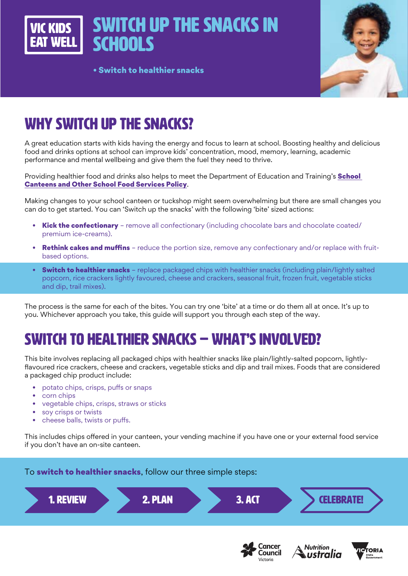Switch up the snacks in VIC KINS **SCHOOLS** 

• Switch to healthier snacks



# WHY SWITCH UP THE SNACKS?

A great education starts with kids having the energy and focus to learn at school. Boosting healthy and delicious food and drinks options at school can improve kids' concentration, mood, memory, learning, academic performance and mental wellbeing and give them the fuel they need to thrive.

Providing healthier food and drinks also helps to meet the Department of Education and Training's **School** [Canteens and Other School Food Services Policy](https://www2.education.vic.gov.au/pal/canteens-and-healthy-eating/policy).

Making changes to your school canteen or tuckshop might seem overwhelming but there are small changes you can do to get started. You can 'Switch up the snacks' with the following 'bite' sized actions:

- **Kick the confectionary** remove all confectionary (including chocolate bars and chocolate coated/ premium ice-creams).
- Rethink cakes and muffins reduce the portion size, remove any confectionary and/or replace with fruitbased options.
- Switch to healthier snacks replace packaged chips with healthier snacks (including plain/lightly salted popcorn, rice crackers lightly favoured, cheese and crackers, seasonal fruit, frozen fruit, vegetable sticks and dip, trail mixes).

The process is the same for each of the bites. You can try one 'bite' at a time or do them all at once. It's up to you. Whichever approach you take, this guide will support you through each step of the way.

# SWITCH TO HEALTHIER SNACKS – WHAT'S INVOLVED?

This bite involves replacing all packaged chips with healthier snacks like plain/lightly-salted popcorn, lightlyflavoured rice crackers, cheese and crackers, vegetable sticks and dip and trail mixes. Foods that are considered a packaged chip product include:

- potato chips, crisps, puffs or snaps
- corn chips
- vegetable chips, crisps, straws or sticks
- soy crisps or twists
- cheese balls, twists or puffs.

This includes chips offered in your canteen, your vending machine if you have one or your external food service if you don't have an on-site canteen.

To **switch to healthier snacks**, follow our three simple steps:



Cancer

Council

Victoria

**Nutrition** 

ustralia

**ICTOPIA**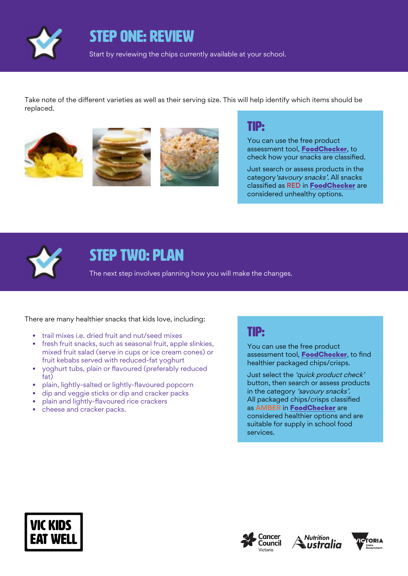

STEP ONE: REVIEW

Start by reviewing the chips currently available at your school.

Take note of the different varieties as well as their serving size. This will help identify which items should be replaced.







### TIP:

You can use the free product assessment tool, [FoodChecker](https://foodchecker.heas.health.vic.gov.au/), to check how your snacks are classified.

Just search or assess products in the category 'savoury snacks'. All snacks classified as RED in [FoodChecker](https://foodchecker.heas.health.vic.gov.au/) are considered unhealthy options.



## STEP TWO: PLAN

The next step involves planning how you will make the changes.

There are many healthier snacks that kids love, including:

- trail mixes i.e. dried fruit and nut/seed mixes
- fresh fruit snacks, such as seasonal fruit, apple slinkies, mixed fruit salad (serve in cups or ice cream cones) or fruit kebabs served with reduced-fat yoghurt
- yoghurt tubs, plain or flavoured (preferably reduced fat)
- plain, lightly-salted or lightly-flavoured popcorn
- dip and veggie sticks or dip and cracker packs
- plain and lightly-flavoured rice crackers
- cheese and cracker packs.

### TIP:

You can use the free product assessment tool, [FoodChecker](https://foodchecker.heas.health.vic.gov.au/), to find healthier packaged chips/crisps.

Just select the 'quick product check' button, then search or assess products in the category 'savoury snacks'. All packaged chips/crisps classified as AMBER in [FoodChecker](https://foodchecker.heas.health.vic.gov.au/) are considered healthier options and are suitable for supply in school food services.







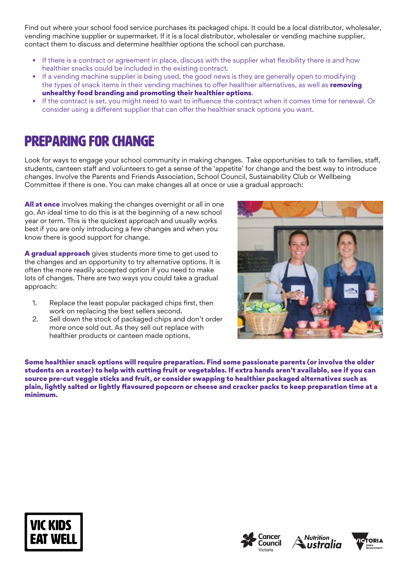Find out where your school food service purchases its packaged chips. It could be a local distributor, wholesaler, vending machine supplier or supermarket. If it is a local distributor, wholesaler or vending machine supplier, contact them to discuss and determine healthier options the school can purchase.

- If there is a contract or agreement in place, discuss with the supplier what flexibility there is and how healthier snacks could be included in the existing contract.
- If a vending machine supplier is being used, the good news is they are generally open to modifying the types of snack items in their vending machines to offer healthier alternatives, as well as removing unhealthy food branding and promoting their healthier options.
- If the contract is set, you might need to wait to influence the contract when it comes time for renewal. Or consider using a different supplier that can offer the healthier snack options you want.

## Preparing for change

Look for ways to engage your school community in making changes. Take opportunities to talk to families, staff, students, canteen staff and volunteers to get a sense of the 'appetite' for change and the best way to introduce changes. Involve the Parents and Friends Association, School Council, Sustainability Club or Wellbeing Committee if there is one. You can make changes all at once or use a gradual approach:

**All at once** involves making the changes overnight or all in one go. An ideal time to do this is at the beginning of a new school year or term. This is the quickest approach and usually works best if you are only introducing a few changes and when you know there is good support for change.

A gradual approach gives students more time to get used to the changes and an opportunity to try alternative options. It is often the more readily accepted option if you need to make lots of changes. There are two ways you could take a gradual approach:

- 1. Replace the least popular packaged chips first, then work on replacing the best sellers second.
- 2. Sell down the stock of packaged chips and don't order more once sold out. As they sell out replace with healthier products or canteen made options.



Some healthier snack options will require preparation. Find some passionate parents (or involve the older students on a roster) to help with cutting fruit or vegetables. If extra hands aren't available, see if you can source pre-cut veggie sticks and fruit, or consider swapping to healthier packaged alternatives such as plain, lightly salted or lightly flavoured popcorn or cheese and cracker packs to keep preparation time at a minimum.







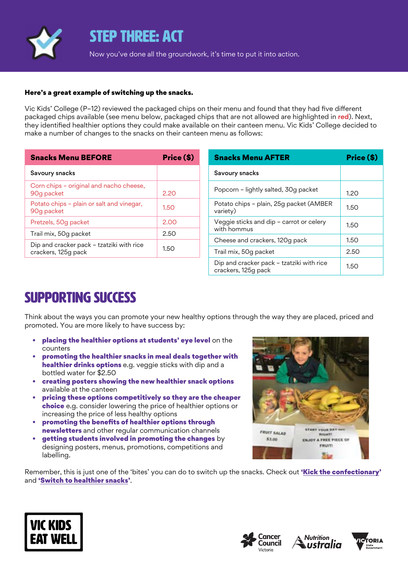

### STEP THREE: ACT

Now you've done all the groundwork, it's time to put it into action.

#### Here's a great example of switching up the snacks.

Vic Kids' College (P–12) reviewed the packaged chips on their menu and found that they had five different packaged chips available (see menu below, packaged chips that are not allowed are highlighted in red). Next, they identified healthier options they could make available on their canteen menu. Vic Kids' College decided to make a number of changes to the snacks on their canteen menu as follows:

| <b>Snacks Menu BEFORE</b>                                        | Price (\$) |
|------------------------------------------------------------------|------------|
| Savoury snacks                                                   |            |
| Corn chips - original and nacho cheese,<br>90g packet            | 2.20       |
| Potato chips - plain or salt and vinegar,<br>90g packet          | 1.5O       |
| Pretzels, 50g packet                                             | 2.00       |
| Trail mix, 50g packet                                            | 2.50       |
| Dip and cracker pack - tzatziki with rice<br>crackers, 125g pack | 1.5O       |

| <b>Snacks Menu AFTER</b>                                         | Price (\$) |
|------------------------------------------------------------------|------------|
| Savoury snacks                                                   |            |
| Popcorn - lightly salted, 30g packet                             | 1.20       |
| Potato chips - plain, 25g packet (AMBER<br>variety)              | 1.50       |
| Veggie sticks and dip - carrot or celery<br>with hommus          | 1.50       |
| Cheese and crackers, 120g pack                                   | 1.50       |
| Trail mix, 50g packet                                            | 2.50       |
| Dip and cracker pack – tzatziki with rice<br>crackers, 125g pack | 1.50       |

## SUPPORTING SUCCESS

Think about the ways you can promote your new healthy options through the way they are placed, priced and promoted. You are more likely to have success by:

- placing the healthier options at students' eye level on the counters
- promoting the healthier snacks in meal deals together with healthier drinks options e.g. veggie sticks with dip and a bottled water for \$2.50
- creating posters showing the new healthier snack options available at the canteen
- pricing these options competitively so they are the cheaper choice e.g. consider lowering the price of healthier options or increasing the price of less healthy options
- promoting the benefits of healthier options through newsletters and other regular communication channels
- getting students involved in promoting the changes by designing posters, menus, promotions, competitions and labelling.



Remember, this is just one of the 'bites' you can do to switch up the snacks. Check out ['Kick the confectionary'](https://www.vickidseatwell.health.vic.gov.au/resources) and '[Switch to healthier snacks](https://www.vickidseatwell.health.vic.gov.au/resources)'.